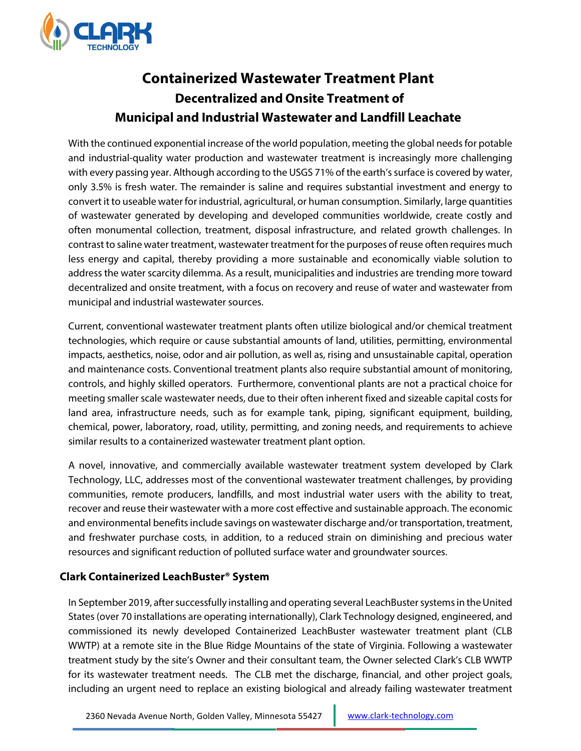

# **Containerized Wastewater Treatment Plant Decentralized and Onsite Treatment of Municipal and Industrial Wastewater and Landfill Leachate**

With the continued exponential increase of the world population, meeting the global needs for potable and industrial-quality water production and wastewater treatment is increasingly more challenging with every passing year. Although according to the USGS 71% of the earth's surface is covered by water, only 3.5% is fresh water. The remainder is saline and requires substantial investment and energy to convert it to useable water for industrial, agricultural, or human consumption. Similarly, large quantities of wastewater generated by developing and developed communities worldwide, create costly and often monumental collection, treatment, disposal infrastructure, and related growth challenges. In contrast to saline water treatment, wastewater treatment for the purposes of reuse often requires much less energy and capital, thereby providing a more sustainable and economically viable solution to address the water scarcity dilemma. As a result, municipalities and industries are trending more toward decentralized and onsite treatment, with a focus on recovery and reuse of water and wastewater from municipal and industrial wastewater sources.

Current, conventional wastewater treatment plants often utilize biological and/or chemical treatment technologies, which require or cause substantial amounts of land, utilities, permitting, environmental impacts, aesthetics, noise, odor and air pollution, as well as, rising and unsustainable capital, operation and maintenance costs. Conventional treatment plants also require substantial amount of monitoring, controls, and highly skilled operators. Furthermore, conventional plants are not a practical choice for meeting smaller scale wastewater needs, due to their often inherent fixed and sizeable capital costs for land area, infrastructure needs, such as for example tank, piping, significant equipment, building, chemical, power, laboratory, road, utility, permitting, and zoning needs, and requirements to achieve similar results to a containerized wastewater treatment plant option.

A novel, innovative, and commercially available wastewater treatment system developed by Clark Technology, LLC, addresses most of the conventional wastewater treatment challenges, by providing communities, remote producers, landfills, and most industrial water users with the ability to treat, recover and reuse their wastewater with a more cost effective and sustainable approach. The economic and environmental benefits include savings on wastewater discharge and/or transportation, treatment, and freshwater purchase costs, in addition, to a reduced strain on diminishing and precious water resources and significant reduction of polluted surface water and groundwater sources.

## **Clark Containerized LeachBuster® System**

In September 2019, after successfully installing and operating several LeachBuster systemsin the United States(over 70 installations are operating internationally), Clark Technology designed, engineered, and commissioned its newly developed Containerized LeachBuster wastewater treatment plant (CLB WWTP) at a remote site in the Blue Ridge Mountains of the state of Virginia. Following a wastewater treatment study by the site's Owner and their consultant team, the Owner selected Clark's CLB WWTP for its wastewater treatment needs. The CLB met the discharge, financial, and other project goals, including an urgent need to replace an existing biological and already failing wastewater treatment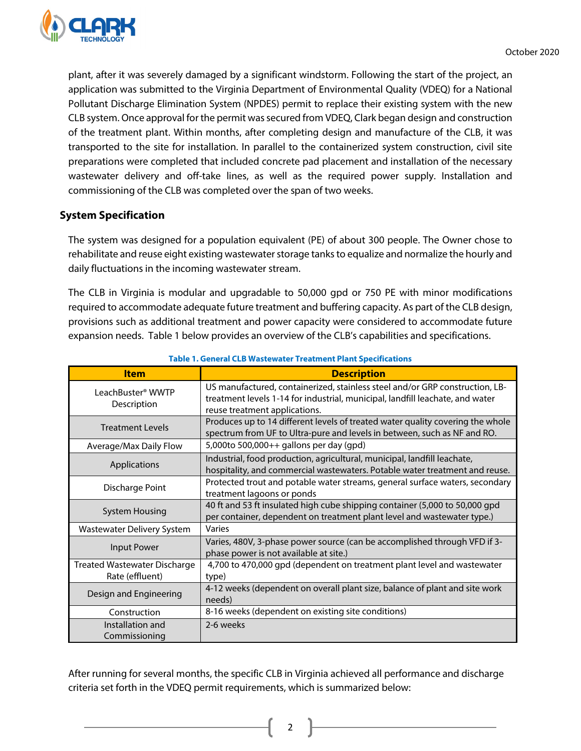

plant, after it was severely damaged by a significant windstorm. Following the start of the project, an application was submitted to the Virginia Department of Environmental Quality (VDEQ) for a National Pollutant Discharge Elimination System (NPDES) permit to replace their existing system with the new CLB system. Once approval for the permit was secured from VDEQ, Clark began design and construction of the treatment plant. Within months, after completing design and manufacture of the CLB, it was transported to the site for installation. In parallel to the containerized system construction, civil site preparations were completed that included concrete pad placement and installation of the necessary wastewater delivery and off-take lines, as well as the required power supply. Installation and commissioning of the CLB was completed over the span of two weeks.

## **System Specification**

The system was designed for a population equivalent (PE) of about 300 people. The Owner chose to rehabilitate and reuse eight existing wastewater storage tanks to equalize and normalize the hourly and daily fluctuations in the incoming wastewater stream.

The CLB in Virginia is modular and upgradable to 50,000 gpd or 750 PE with minor modifications required to accommodate adequate future treatment and buffering capacity. As part of the CLB design, provisions such as additional treatment and power capacity were considered to accommodate future expansion needs. Table 1 below provides an overview of the CLB's capabilities and specifications.

| <b>Item</b>                                     | <b>Description</b>                                                                                                                                                                             |  |
|-------------------------------------------------|------------------------------------------------------------------------------------------------------------------------------------------------------------------------------------------------|--|
| LeachBuster <sup>®</sup> WWTP<br>Description    | US manufactured, containerized, stainless steel and/or GRP construction, LB-<br>treatment levels 1-14 for industrial, municipal, landfill leachate, and water<br>reuse treatment applications. |  |
| <b>Treatment Levels</b>                         | Produces up to 14 different levels of treated water quality covering the whole<br>spectrum from UF to Ultra-pure and levels in between, such as NF and RO.                                     |  |
| Average/Max Daily Flow                          | 5,000to 500,000++ gallons per day (gpd)                                                                                                                                                        |  |
| Applications                                    | Industrial, food production, agricultural, municipal, landfill leachate,<br>hospitality, and commercial wastewaters. Potable water treatment and reuse.                                        |  |
| Discharge Point                                 | Protected trout and potable water streams, general surface waters, secondary<br>treatment lagoons or ponds                                                                                     |  |
| <b>System Housing</b>                           | 40 ft and 53 ft insulated high cube shipping container (5,000 to 50,000 gpd<br>per container, dependent on treatment plant level and wastewater type.)                                         |  |
| <b>Wastewater Delivery System</b>               | Varies                                                                                                                                                                                         |  |
| Input Power                                     | Varies, 480V, 3-phase power source (can be accomplished through VFD if 3-<br>phase power is not available at site.)                                                                            |  |
| Treated Wastewater Discharge<br>Rate (effluent) | 4,700 to 470,000 gpd (dependent on treatment plant level and wastewater<br>type)                                                                                                               |  |
| Design and Engineering                          | 4-12 weeks (dependent on overall plant size, balance of plant and site work<br>needs)                                                                                                          |  |
| Construction                                    | 8-16 weeks (dependent on existing site conditions)                                                                                                                                             |  |
| Installation and<br>Commissioning               | 2-6 weeks                                                                                                                                                                                      |  |

**Table 1. General CLB Wastewater Treatment Plant Specifications**

After running for several months, the specific CLB in Virginia achieved all performance and discharge criteria set forth in the VDEQ permit requirements, which is summarized below:

2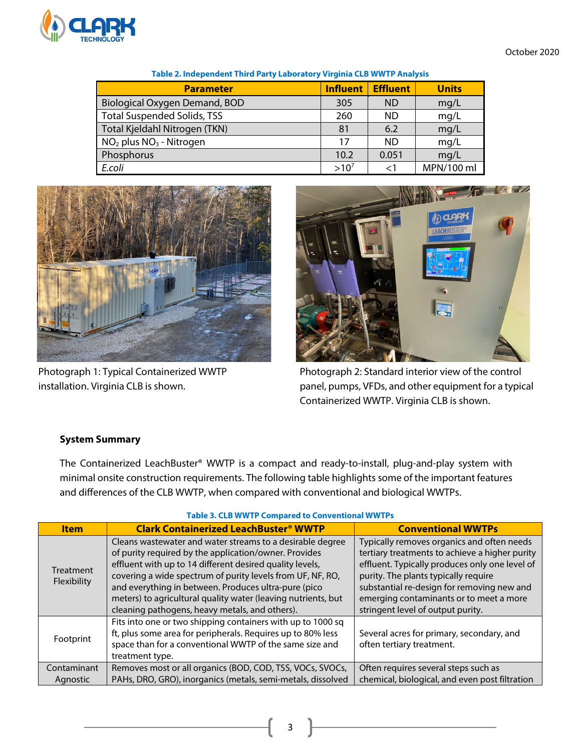

October 2020

| <b>Parameter</b>                   | <b>Influent</b> | <b>Effluent</b> | <b>Units</b> |
|------------------------------------|-----------------|-----------------|--------------|
| Biological Oxygen Demand, BOD      | 305             | <b>ND</b>       | mq/L         |
| <b>Total Suspended Solids, TSS</b> | 260             | ND.             | mq/L         |
| Total Kjeldahl Nitrogen (TKN)      | 81              | 6.2             | mq/L         |
| $NO2$ plus $NO3$ - Nitrogen        | 17              | <b>ND</b>       | mq/L         |
| Phosphorus                         | 10.2            | 0.051           | mq/L         |
| E.coli                             | $>10^{7}$       |                 | MPN/100 ml   |

#### **Table 2. Independent Third Party Laboratory Virginia CLB WWTP Analysis**





Photograph 1: Typical Containerized WWTP Photograph 2: Standard interior view of the control installation. Virginia CLB is shown. **panel, pumps, VFDs, and other equipment for a typical** Containerized WWTP. Virginia CLB is shown.

### **System Summary**

The Containerized LeachBuster® WWTP is a compact and ready-to-install, plug-and-play system with minimal onsite construction requirements. The following table highlights some of the important features and differences of the CLB WWTP, when compared with conventional and biological WWTPs.

| <b>Item</b>              | <b>Clark Containerized LeachBuster<sup>®</sup> WWTP</b>       | <b>Conventional WWTPs</b>                      |
|--------------------------|---------------------------------------------------------------|------------------------------------------------|
| Treatment<br>Flexibility | Cleans wastewater and water streams to a desirable degree     | Typically removes organics and often needs     |
|                          | of purity required by the application/owner. Provides         | tertiary treatments to achieve a higher purity |
|                          | effluent with up to 14 different desired quality levels,      | effluent. Typically produces only one level of |
|                          | covering a wide spectrum of purity levels from UF, NF, RO,    | purity. The plants typically require           |
|                          | and everything in between. Produces ultra-pure (pico          | substantial re-design for removing new and     |
|                          | meters) to agricultural quality water (leaving nutrients, but | emerging contaminants or to meet a more        |
|                          | cleaning pathogens, heavy metals, and others).                | stringent level of output purity.              |
| Footprint                | Fits into one or two shipping containers with up to 1000 sq   |                                                |
|                          | ft, plus some area for peripherals. Requires up to 80% less   | Several acres for primary, secondary, and      |
|                          | space than for a conventional WWTP of the same size and       | often tertiary treatment.                      |
|                          | treatment type.                                               |                                                |
| Contaminant              | Removes most or all organics (BOD, COD, TSS, VOCs, SVOCs,     | Often requires several steps such as           |
| Agnostic                 | PAHs, DRO, GRO), inorganics (metals, semi-metals, dissolved   | chemical, biological, and even post filtration |

#### **Table 3. CLB WWTP Compared to Conventional WWTPs**